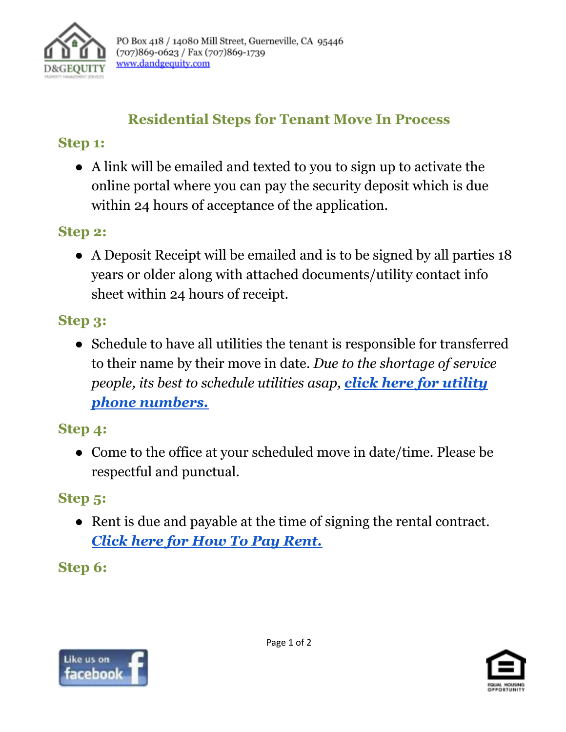

# **Residential Steps for Tenant Move In Process**

#### **Step 1:**

**●** A link will be emailed and texted to you to sign up to activate the online portal where you can pay the security deposit which is due within 24 hours of acceptance of the application.

# **Step 2:**

● A Deposit Receipt will be emailed and is to be signed by all parties 18 years or older along with attached documents/utility contact info sheet within 24 hours of receipt.

## **Step 3:**

● Schedule to have all utilities the tenant is responsible for transferred to their name by their move in date. *Due to the shortage of service people, its best to schedule utilities asap, click [here for utility](https://www.dandgequity.com/wp-content/uploads/2021/12/HELPFUL-PHONE-NUMBERS-PDF-DG-EQUITY-MANAGEMENT.pdf) [phone numbers.](https://www.dandgequity.com/wp-content/uploads/2021/12/HELPFUL-PHONE-NUMBERS-PDF-DG-EQUITY-MANAGEMENT.pdf)*

#### **Step 4:**

**●** Come to the office at your scheduled move in date/time. Please be respectful and punctual.

## **Step 5:**

**●** Rent is due and payable at the time of signing the rental contract. *[Click here for How To Pay Rent.](https://www.dandgequity.com/wp-content/uploads/2021/12/Paying-Rent-Options.pdf)*

**Step 6:**